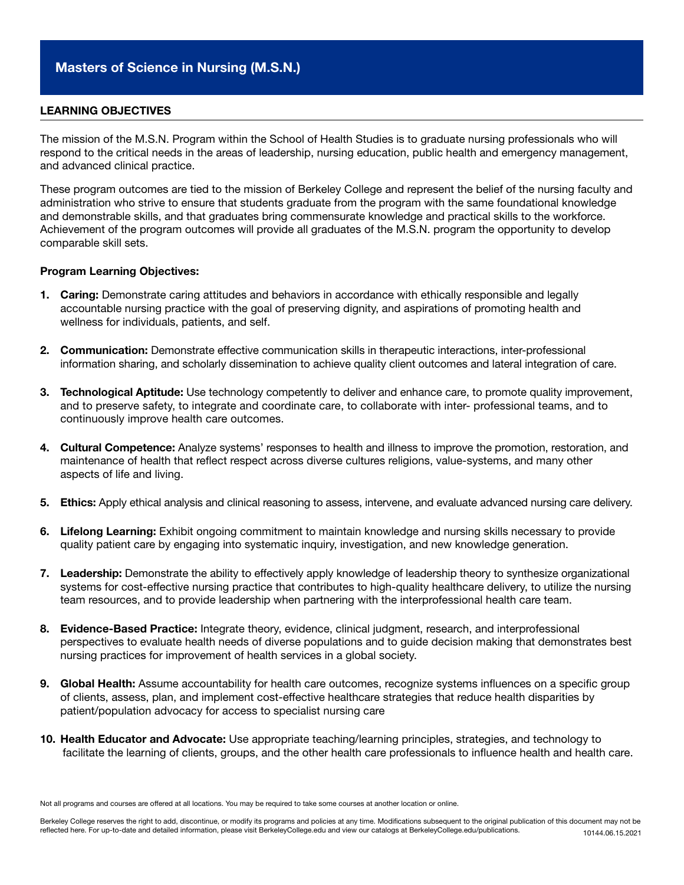## LEARNING OBJECTIVES

The mission of the M.S.N. Program within the School of Health Studies is to graduate nursing professionals who will respond to the critical needs in the areas of leadership, nursing education, public health and emergency management, and advanced clinical practice.

These program outcomes are tied to the mission of Berkeley College and represent the belief of the nursing faculty and administration who strive to ensure that students graduate from the program with the same foundational knowledge and demonstrable skills, and that graduates bring commensurate knowledge and practical skills to the workforce. Achievement of the program outcomes will provide all graduates of the M.S.N. program the opportunity to develop comparable skill sets.

## Program Learning Objectives:

- 1. Caring: Demonstrate caring attitudes and behaviors in accordance with ethically responsible and legally accountable nursing practice with the goal of preserving dignity, and aspirations of promoting health and wellness for individuals, patients, and self.
- 2. Communication: Demonstrate effective communication skills in therapeutic interactions, inter-professional information sharing, and scholarly dissemination to achieve quality client outcomes and lateral integration of care.
- 3. Technological Aptitude: Use technology competently to deliver and enhance care, to promote quality improvement, and to preserve safety, to integrate and coordinate care, to collaborate with inter- professional teams, and to continuously improve health care outcomes.
- 4. Cultural Competence: Analyze systems' responses to health and illness to improve the promotion, restoration, and maintenance of health that reflect respect across diverse cultures religions, value-systems, and many other aspects of life and living.
- 5. Ethics: Apply ethical analysis and clinical reasoning to assess, intervene, and evaluate advanced nursing care delivery.
- 6. Lifelong Learning: Exhibit ongoing commitment to maintain knowledge and nursing skills necessary to provide quality patient care by engaging into systematic inquiry, investigation, and new knowledge generation.
- 7. Leadership: Demonstrate the ability to effectively apply knowledge of leadership theory to synthesize organizational systems for cost-effective nursing practice that contributes to high-quality healthcare delivery, to utilize the nursing team resources, and to provide leadership when partnering with the interprofessional health care team.
- 8. Evidence-Based Practice: Integrate theory, evidence, clinical judgment, research, and interprofessional perspectives to evaluate health needs of diverse populations and to guide decision making that demonstrates best nursing practices for improvement of health services in a global society.
- 9. Global Health: Assume accountability for health care outcomes, recognize systems influences on a specific group of clients, assess, plan, and implement cost-effective healthcare strategies that reduce health disparities by patient/population advocacy for access to specialist nursing care
- 10. Health Educator and Advocate: Use appropriate teaching/learning principles, strategies, and technology to facilitate the learning of clients, groups, and the other health care professionals to influence health and health care.

Not all programs and courses are offered at all locations. You may be required to take some courses at another location or online.

Berkeley College reserves the right to add, discontinue, or modify its programs and policies at any time. Modifications subsequent to the original publication of this document may not be reflected here. For up-to-date and detailed information, please visit BerkeleyCollege.edu and view our catalogs at BerkeleyCollege.edu/publications. 10144.06.15.2021